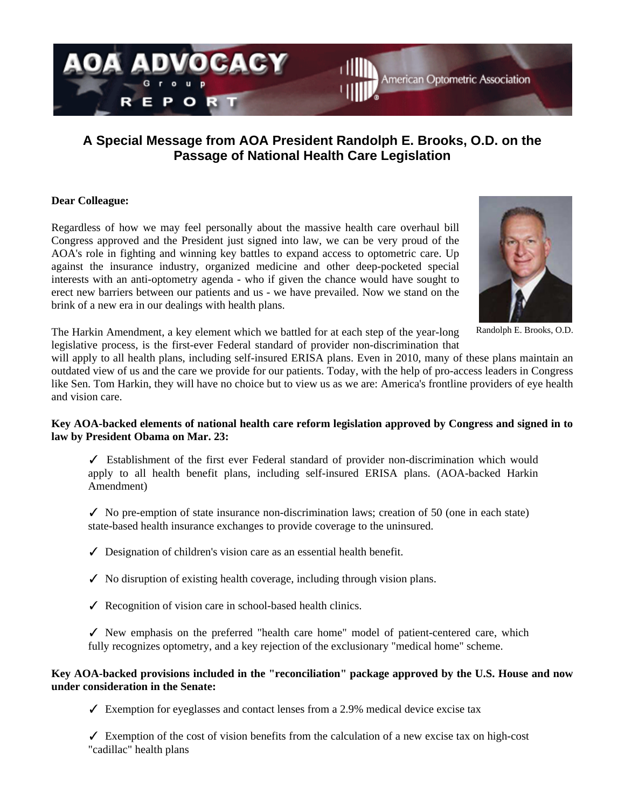

# **A Special Message from AOA President Randolph E. Brooks, O.D. on the Passage of National Health Care Legislation**

## **Dear Colleague:**

Regardless of how we may feel personally about the massive health care overhaul bill Congress approved and the President just signed into law, we can be very proud of the AOA's role in fighting and winning key battles to expand access to optometric care. Up against the insurance industry, organized medicine and other deep-pocketed special interests with an anti-optometry agenda - who if given the chance would have sought to erect new barriers between our patients and us - we have prevailed. Now we stand on the brink of a new era in our dealings with health plans.



Randolph E. Brooks, O.D.

The Harkin Amendment, a key element which we battled for at each step of the year-long legislative process, is the first-ever Federal standard of provider non-discrimination that

will apply to all health plans, including self-insured ERISA plans. Even in 2010, many of these plans maintain an outdated view of us and the care we provide for our patients. Today, with the help of pro-access leaders in Congress like Sen. Tom Harkin, they will have no choice but to view us as we are: America's frontline providers of eye health and vision care.

# **Key AOA-backed elements of national health care reform legislation approved by Congress and signed in to law by President Obama on Mar. 23:**

✓ Establishment of the first ever Federal standard of provider non-discrimination which would apply to all health benefit plans, including self-insured ERISA plans. (AOA-backed Harkin Amendment)

 $\checkmark$  No pre-emption of state insurance non-discrimination laws; creation of 50 (one in each state) state-based health insurance exchanges to provide coverage to the uninsured.

- $\checkmark$  Designation of children's vision care as an essential health benefit.
- $\checkmark$  No disruption of existing health coverage, including through vision plans.
- ✓ Recognition of vision care in school-based health clinics.

✓ New emphasis on the preferred "health care home" model of patient-centered care, which fully recognizes optometry, and a key rejection of the exclusionary "medical home" scheme.

## **Key AOA-backed provisions included in the "reconciliation" package approved by the U.S. House and now under consideration in the Senate:**

 $\checkmark$  Exemption for eyeglasses and contact lenses from a 2.9% medical device excise tax

 $\checkmark$  Exemption of the cost of vision benefits from the calculation of a new excise tax on high-cost "cadillac" health plans